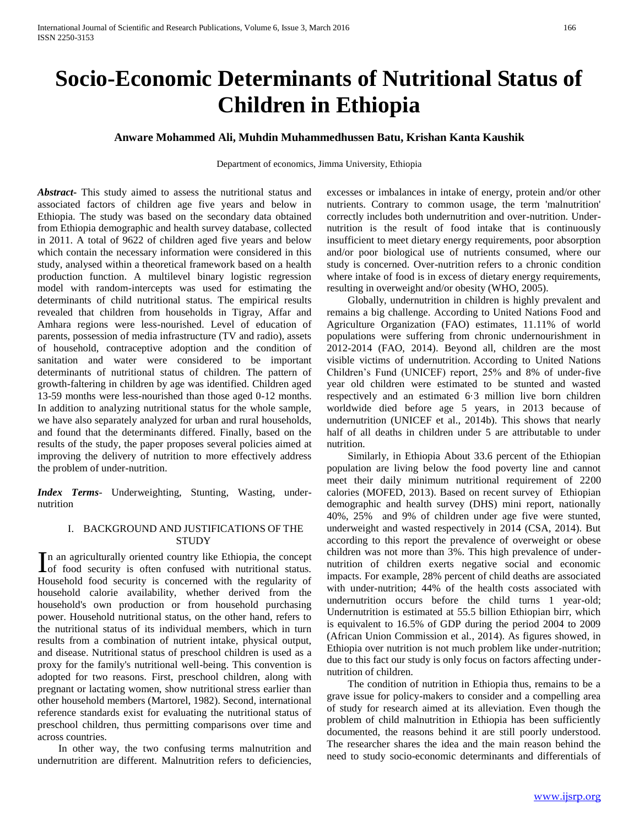# **Socio-Economic Determinants of Nutritional Status of Children in Ethiopia**

# **Anware Mohammed Ali, Muhdin Muhammedhussen Batu, Krishan Kanta Kaushik**

Department of economics, Jimma University, Ethiopia

*Abstract***-** This study aimed to assess the nutritional status and associated factors of children age five years and below in Ethiopia. The study was based on the secondary data obtained from Ethiopia demographic and health survey database, collected in 2011. A total of 9622 of children aged five years and below which contain the necessary information were considered in this study, analysed within a theoretical framework based on a health production function. A multilevel binary logistic regression model with random-intercepts was used for estimating the determinants of child nutritional status. The empirical results revealed that children from households in Tigray, Affar and Amhara regions were less-nourished. Level of education of parents, possession of media infrastructure (TV and radio), assets of household, contraceptive adoption and the condition of sanitation and water were considered to be important determinants of nutritional status of children. The pattern of growth-faltering in children by age was identified. Children aged 13-59 months were less-nourished than those aged 0-12 months. In addition to analyzing nutritional status for the whole sample, we have also separately analyzed for urban and rural households, and found that the determinants differed. Finally, based on the results of the study, the paper proposes several policies aimed at improving the delivery of nutrition to more effectively address the problem of under-nutrition.

*Index Terms*- Underweighting, Stunting, Wasting, undernutrition

# I. BACKGROUND AND JUSTIFICATIONS OF THE **STUDY**

n an agriculturally oriented country like Ethiopia, the concept In an agriculturally oriented country like Ethiopia, the concept of food security is often confused with nutritional status. Household food security is concerned with the regularity of household calorie availability, whether derived from the household's own production or from household purchasing power. Household nutritional status, on the other hand, refers to the nutritional status of its individual members, which in turn results from a combination of nutrient intake, physical output, and disease. Nutritional status of preschool children is used as a proxy for the family's nutritional well-being. This convention is adopted for two reasons. First, preschool children, along with pregnant or lactating women, show nutritional stress earlier than other household members (Martorel, 1982). Second, international reference standards exist for evaluating the nutritional status of preschool children, thus permitting comparisons over time and across countries.

 In other way, the two confusing terms malnutrition and undernutrition are different. Malnutrition refers to deficiencies, excesses or imbalances in intake of energy, protein and/or other nutrients. Contrary to common usage, the term 'malnutrition' correctly includes both undernutrition and over-nutrition. Undernutrition is the result of food intake that is continuously insufficient to meet dietary energy requirements, poor absorption and/or poor biological use of nutrients consumed, where our study is concerned. Over-nutrition refers to a chronic condition where intake of food is in excess of dietary energy requirements, resulting in overweight and/or obesity (WHO, 2005).

 Globally, undernutrition in children is highly prevalent and remains a big challenge. According to United Nations Food and Agriculture Organization (FAO) estimates, 11.11% of world populations were suffering from chronic undernourishment in 2012-2014 (FAO, 2014). Beyond all, children are the most visible victims of undernutrition. According to United Nations Children's Fund (UNICEF) report, 25% and 8% of under-five year old children were estimated to be stunted and wasted respectively and an estimated 6·3 million live born children worldwide died before age 5 years, in 2013 because of undernutrition (UNICEF et al., 2014b). This shows that nearly half of all deaths in children under 5 are attributable to under nutrition.

 Similarly, in Ethiopia About 33.6 percent of the Ethiopian population are living below the food poverty line and cannot meet their daily minimum nutritional requirement of 2200 calories (MOFED, 2013). Based on recent survey of Ethiopian demographic and health survey (DHS) mini report, nationally 40%, 25% and 9% of children under age five were stunted, underweight and wasted respectively in 2014 (CSA, 2014). But according to this report the prevalence of overweight or obese children was not more than 3%. This high prevalence of undernutrition of children exerts negative social and economic impacts. For example, 28% percent of child deaths are associated with under-nutrition; 44% of the health costs associated with undernutrition occurs before the child turns 1 year-old; Undernutrition is estimated at 55.5 billion Ethiopian birr, which is equivalent to 16.5% of GDP during the period 2004 to 2009 (African Union Commission et al., 2014). As figures showed, in Ethiopia over nutrition is not much problem like under-nutrition; due to this fact our study is only focus on factors affecting undernutrition of children.

 The condition of nutrition in Ethiopia thus, remains to be a grave issue for policy-makers to consider and a compelling area of study for research aimed at its alleviation. Even though the problem of child malnutrition in Ethiopia has been sufficiently documented, the reasons behind it are still poorly understood. The researcher shares the idea and the main reason behind the need to study socio-economic determinants and differentials of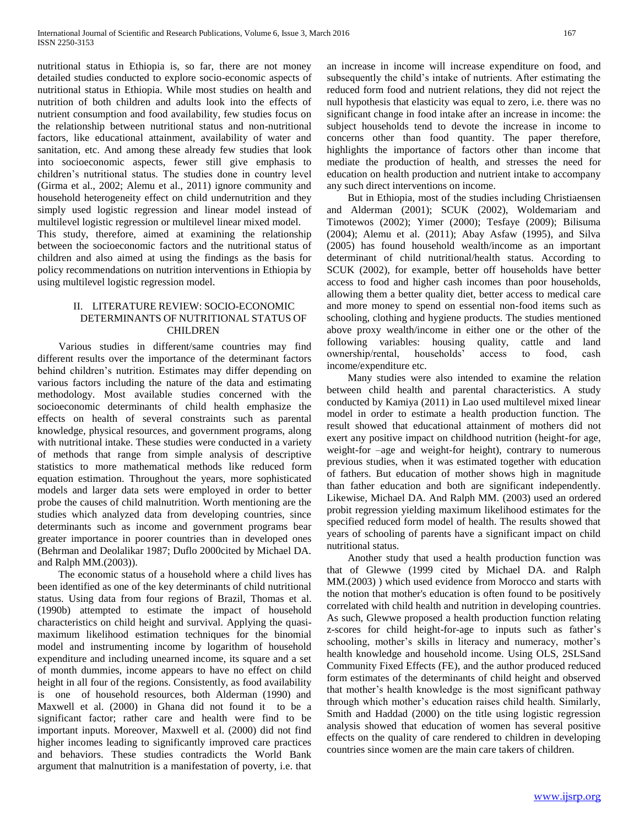nutritional status in Ethiopia is, so far, there are not money detailed studies conducted to explore socio-economic aspects of nutritional status in Ethiopia. While most studies on health and nutrition of both children and adults look into the effects of nutrient consumption and food availability, few studies focus on the relationship between nutritional status and non-nutritional factors, like educational attainment, availability of water and sanitation, etc. And among these already few studies that look into socioeconomic aspects, fewer still give emphasis to children's nutritional status. The studies done in country level (Girma et al., 2002; Alemu et al., 2011) ignore community and household heterogeneity effect on child undernutrition and they simply used logistic regression and linear model instead of multilevel logistic regression or multilevel linear mixed model. This study, therefore, aimed at examining the relationship between the socioeconomic factors and the nutritional status of

children and also aimed at using the findings as the basis for policy recommendations on nutrition interventions in Ethiopia by using multilevel logistic regression model.

## II. LITERATURE REVIEW: SOCIO-ECONOMIC DETERMINANTS OF NUTRITIONAL STATUS OF CHILDREN

 Various studies in different/same countries may find different results over the importance of the determinant factors behind children's nutrition. Estimates may differ depending on various factors including the nature of the data and estimating methodology. Most available studies concerned with the socioeconomic determinants of child health emphasize the effects on health of several constraints such as parental knowledge, physical resources, and government programs, along with nutritional intake. These studies were conducted in a variety of methods that range from simple analysis of descriptive statistics to more mathematical methods like reduced form equation estimation. Throughout the years, more sophisticated models and larger data sets were employed in order to better probe the causes of child malnutrition. Worth mentioning are the studies which analyzed data from developing countries, since determinants such as income and government programs bear greater importance in poorer countries than in developed ones (Behrman and Deolalikar 1987; Duflo 2000cited by Michael DA. and Ralph MM.(2003)).

 The economic status of a household where a child lives has been identified as one of the key determinants of child nutritional status. Using data from four regions of Brazil, Thomas et al. (1990b) attempted to estimate the impact of household characteristics on child height and survival. Applying the quasimaximum likelihood estimation techniques for the binomial model and instrumenting income by logarithm of household expenditure and including unearned income, its square and a set of month dummies, income appears to have no effect on child height in all four of the regions. Consistently, as food availability is one of household resources, both Alderman (1990) and Maxwell et al. (2000) in Ghana did not found it to be a significant factor; rather care and health were find to be important inputs. Moreover, Maxwell et al. (2000) did not find higher incomes leading to significantly improved care practices and behaviors. These studies contradicts the World Bank argument that malnutrition is a manifestation of poverty, i.e. that

an increase in income will increase expenditure on food, and subsequently the child's intake of nutrients. After estimating the reduced form food and nutrient relations, they did not reject the null hypothesis that elasticity was equal to zero, i.e. there was no significant change in food intake after an increase in income: the subject households tend to devote the increase in income to concerns other than food quantity. The paper therefore, highlights the importance of factors other than income that mediate the production of health, and stresses the need for education on health production and nutrient intake to accompany any such direct interventions on income.

 But in Ethiopia, most of the studies including Christiaensen and Alderman (2001); SCUK (2002), Woldemariam and Timotewos (2002); Yimer (2000); Tesfaye (2009); Bilisuma (2004); Alemu et al. (2011); Abay Asfaw (1995), and Silva (2005) has found household wealth/income as an important determinant of child nutritional/health status. According to SCUK (2002), for example, better off households have better access to food and higher cash incomes than poor households, allowing them a better quality diet, better access to medical care and more money to spend on essential non-food items such as schooling, clothing and hygiene products. The studies mentioned above proxy wealth/income in either one or the other of the following variables: housing quality, cattle and land ownership/rental, households' access to food, cash income/expenditure etc.

 Many studies were also intended to examine the relation between child health and parental characteristics. A study conducted by Kamiya (2011) in Lao used multilevel mixed linear model in order to estimate a health production function. The result showed that educational attainment of mothers did not exert any positive impact on childhood nutrition (height-for age, weight-for –age and weight-for height), contrary to numerous previous studies, when it was estimated together with education of fathers. But education of mother shows high in magnitude than father education and both are significant independently. Likewise, Michael DA. And Ralph MM. (2003) used an ordered probit regression yielding maximum likelihood estimates for the specified reduced form model of health. The results showed that years of schooling of parents have a significant impact on child nutritional status.

 Another study that used a health production function was that of Glewwe (1999 cited by Michael DA. and Ralph MM.(2003) ) which used evidence from Morocco and starts with the notion that mother's education is often found to be positively correlated with child health and nutrition in developing countries. As such, Glewwe proposed a health production function relating z-scores for child height-for-age to inputs such as father's schooling, mother's skills in literacy and numeracy, mother's health knowledge and household income. Using OLS, 2SLSand Community Fixed Effects (FE), and the author produced reduced form estimates of the determinants of child height and observed that mother's health knowledge is the most significant pathway through which mother's education raises child health. Similarly, Smith and Haddad (2000) on the title using logistic regression analysis showed that education of women has several positive effects on the quality of care rendered to children in developing countries since women are the main care takers of children.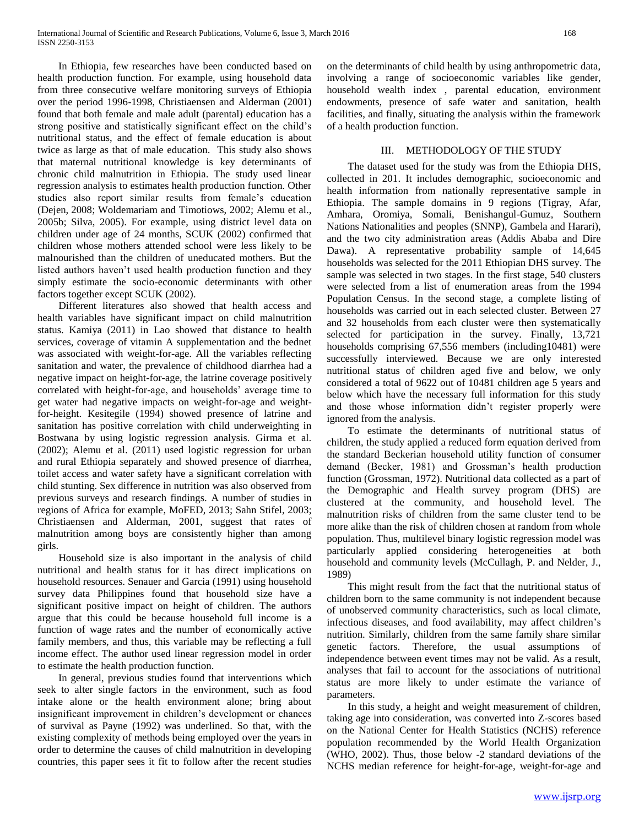In Ethiopia, few researches have been conducted based on health production function. For example, using household data from three consecutive welfare monitoring surveys of Ethiopia over the period 1996-1998, Christiaensen and Alderman (2001) found that both female and male adult (parental) education has a strong positive and statistically significant effect on the child's nutritional status, and the effect of female education is about twice as large as that of male education. This study also shows that maternal nutritional knowledge is key determinants of chronic child malnutrition in Ethiopia. The study used linear regression analysis to estimates health production function. Other studies also report similar results from female's education (Dejen, 2008; Woldemariam and Timotiows, 2002; Alemu et al., 2005b; Silva, 2005). For example, using district level data on children under age of 24 months, SCUK (2002) confirmed that children whose mothers attended school were less likely to be malnourished than the children of uneducated mothers. But the listed authors haven't used health production function and they simply estimate the socio-economic determinants with other factors together except SCUK (2002).

 Different literatures also showed that health access and health variables have significant impact on child malnutrition status. Kamiya (2011) in Lao showed that distance to health services, coverage of vitamin A supplementation and the bednet was associated with weight-for-age. All the variables reflecting sanitation and water, the prevalence of childhood diarrhea had a negative impact on height-for-age, the latrine coverage positively correlated with height-for-age, and households' average time to get water had negative impacts on weight-for-age and weightfor-height. Kesitegile (1994) showed presence of latrine and sanitation has positive correlation with child underweighting in Bostwana by using logistic regression analysis. Girma et al. (2002); Alemu et al. (2011) used logistic regression for urban and rural Ethiopia separately and showed presence of diarrhea, toilet access and water safety have a significant correlation with child stunting. Sex difference in nutrition was also observed from previous surveys and research findings. A number of studies in regions of Africa for example, MoFED, 2013; Sahn Stifel, 2003; Christiaensen and Alderman, 2001, suggest that rates of malnutrition among boys are consistently higher than among girls.

 Household size is also important in the analysis of child nutritional and health status for it has direct implications on household resources. Senauer and Garcia (1991) using household survey data Philippines found that household size have a significant positive impact on height of children. The authors argue that this could be because household full income is a function of wage rates and the number of economically active family members, and thus, this variable may be reflecting a full income effect. The author used linear regression model in order to estimate the health production function.

 In general, previous studies found that interventions which seek to alter single factors in the environment, such as food intake alone or the health environment alone; bring about insignificant improvement in children's development or chances of survival as Payne (1992) was underlined. So that, with the existing complexity of methods being employed over the years in order to determine the causes of child malnutrition in developing countries, this paper sees it fit to follow after the recent studies

on the determinants of child health by using anthropometric data, involving a range of socioeconomic variables like gender, household wealth index , parental education, environment endowments, presence of safe water and sanitation, health facilities, and finally, situating the analysis within the framework of a health production function.

## III. METHODOLOGY OF THE STUDY

 The dataset used for the study was from the Ethiopia DHS, collected in 201. It includes demographic, socioeconomic and health information from nationally representative sample in Ethiopia. The sample domains in 9 regions (Tigray, Afar, Amhara, Oromiya, Somali, Benishangul-Gumuz, Southern Nations Nationalities and peoples (SNNP), Gambela and Harari), and the two city administration areas (Addis Ababa and Dire Dawa). A representative probability sample of 14,645 households was selected for the 2011 Ethiopian DHS survey. The sample was selected in two stages. In the first stage, 540 clusters were selected from a list of enumeration areas from the 1994 Population Census. In the second stage, a complete listing of households was carried out in each selected cluster. Between 27 and 32 households from each cluster were then systematically selected for participation in the survey. Finally, 13,721 households comprising 67,556 members (including10481) were successfully interviewed. Because we are only interested nutritional status of children aged five and below, we only considered a total of 9622 out of 10481 children age 5 years and below which have the necessary full information for this study and those whose information didn't register properly were ignored from the analysis.

 To estimate the determinants of nutritional status of children, the study applied a reduced form equation derived from the standard Beckerian household utility function of consumer demand (Becker, 1981) and Grossman's health production function (Grossman, 1972). Nutritional data collected as a part of the Demographic and Health survey program (DHS) are clustered at the community, and household level. The malnutrition risks of children from the same cluster tend to be more alike than the risk of children chosen at random from whole population. Thus, multilevel binary logistic regression model was particularly applied considering heterogeneities at both household and community levels (McCullagh, P. and Nelder, J., 1989)

 This might result from the fact that the nutritional status of children born to the same community is not independent because of unobserved community characteristics, such as local climate, infectious diseases, and food availability, may affect children's nutrition. Similarly, children from the same family share similar genetic factors. Therefore, the usual assumptions of independence between event times may not be valid. As a result, analyses that fail to account for the associations of nutritional status are more likely to under estimate the variance of parameters.

 In this study, a height and weight measurement of children, taking age into consideration, was converted into Z-scores based on the National Center for Health Statistics (NCHS) reference population recommended by the World Health Organization (WHO, 2002). Thus, those below -2 standard deviations of the NCHS median reference for height-for-age, weight-for-age and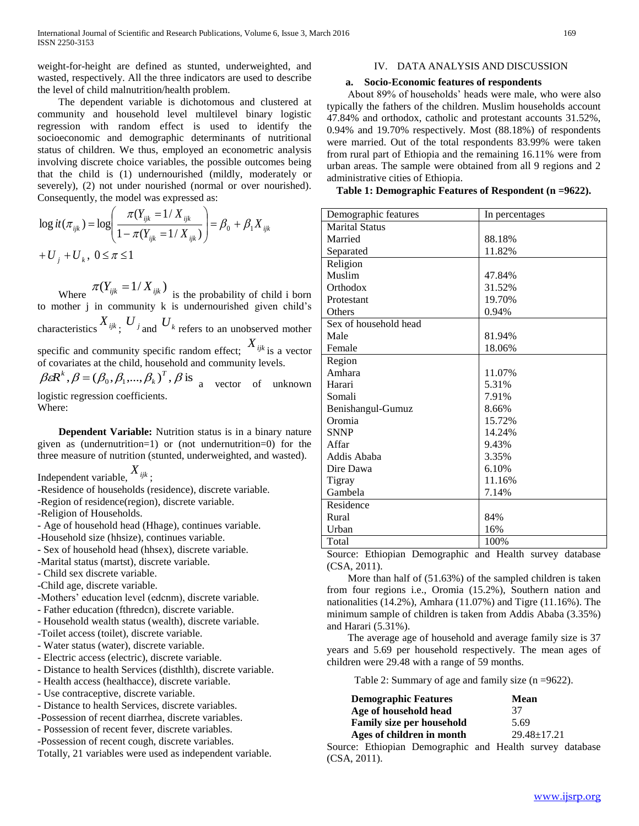weight-for-height are defined as stunted, underweighted, and wasted, respectively. All the three indicators are used to describe the level of child malnutrition/health problem.

 The dependent variable is dichotomous and clustered at community and household level multilevel binary logistic regression with random effect is used to identify the socioeconomic and demographic determinants of nutritional status of children. We thus, employed an econometric analysis involving discrete choice variables, the possible outcomes being that the child is (1) undernourished (mildly, moderately or severely), (2) not under nourished (normal or over nourished). Consequently, the model was expressed as:

$$
\log it(\pi_{ijk}) = \log \left( \frac{\pi(Y_{ijk} = 1 / X_{ijk})}{1 - \pi(Y_{ijk} = 1 / X_{ijk})} \right) = \beta_0 + \beta_1 X_{ijk}
$$
  
+ U<sub>j</sub> + U<sub>k</sub>, 0 \le \pi \le 1

Where  $\pi(Y_{ijk} = 1/X_{ijk})$  is the probability of child i born to mother j in community k is undernourished given child's characteristics  $X_{ijk}$ ;  $U_{j}$  and  $U_{k}$  refers to an unobserved mother specific and community specific random effect; *Xijk* is a vector of covariates at the child, household and community levels.

 $\beta \varepsilon R^{k}$ ,  $\beta = (\beta_0, \beta_1, ..., \beta_k)^T$ ,  $\beta$  is a vector of unknown logistic regression coefficients. Where:

 **Dependent Variable:** Nutrition status is in a binary nature given as (undernutrition=1) or (not undernutrition=0) for the three measure of nutrition (stunted, underweighted, and wasted).

Independent variable, *Xijk* ;

-Residence of households (residence), discrete variable.

-Region of residence(region), discrete variable.

-Religion of Households.

- Age of household head (Hhage), continues variable.
- -Household size (hhsize), continues variable.

- Sex of household head (hhsex), discrete variable.

- -Marital status (martst), discrete variable.
- Child sex discrete variable.
- -Child age, discrete variable.
- -Mothers' education level (edcnm), discrete variable.
- Father education (fthredcn), discrete variable.
- Household wealth status (wealth), discrete variable.
- -Toilet access (toilet), discrete variable.
- Water status (water), discrete variable.
- Electric access (electric), discrete variable.
- Distance to health Services (disthlth), discrete variable.
- Health access (healthacce), discrete variable.
- Use contraceptive, discrete variable.
- Distance to health Services, discrete variables.
- -Possession of recent diarrhea, discrete variables.
- Possession of recent fever, discrete variables.
- -Possession of recent cough, discrete variables.
- Totally, 21 variables were used as independent variable.

### IV. DATA ANALYSIS AND DISCUSSION

### **a. Socio-Economic features of respondents**

 About 89% of households' heads were male, who were also typically the fathers of the children. Muslim households account 47.84% and orthodox, catholic and protestant accounts 31.52%, 0.94% and 19.70% respectively. Most (88.18%) of respondents were married. Out of the total respondents 83.99% were taken from rural part of Ethiopia and the remaining 16.11% were from urban areas. The sample were obtained from all 9 regions and 2 administrative cities of Ethiopia.

**Table 1: Demographic Features of Respondent (n =9622).**

| Demographic features  | In percentages |
|-----------------------|----------------|
| Marital Status        |                |
| Married               | 88.18%         |
| Separated             | 11.82%         |
| Religion              |                |
| Muslim                | 47.84%         |
| Orthodox              | 31.52%         |
| Protestant            | 19.70%         |
| Others                | 0.94%          |
| Sex of household head |                |
| Male                  | 81.94%         |
| Female                | 18.06%         |
| Region                |                |
| Amhara                | 11.07%         |
| Harari                | 5.31%          |
| Somali                | 7.91%          |
| Benishangul-Gumuz     | 8.66%          |
| Oromia                | 15.72%         |
| <b>SNNP</b>           | 14.24%         |
| Affar                 | 9.43%          |
| Addis Ababa           | 3.35%          |
| Dire Dawa             | 6.10%          |
| Tigray                | 11.16%         |
| Gambela               | 7.14%          |
| Residence             |                |
| Rural                 | 84%            |
| Urban                 | 16%            |
| Total                 | 100%           |
|                       |                |

Source: Ethiopian Demographic and Health survey database (CSA, 2011).

 More than half of (51.63%) of the sampled children is taken from four regions i.e., Oromia (15.2%), Southern nation and nationalities (14.2%), Amhara (11.07%) and Tigre (11.16%). The minimum sample of children is taken from Addis Ababa (3.35%) and Harari (5.31%).

 The average age of household and average family size is 37 years and 5.69 per household respectively. The mean ages of children were 29.48 with a range of 59 months.

Table 2: Summary of age and family size (n =9622).

| <b>Demographic Features</b> | <b>Mean</b>       |
|-----------------------------|-------------------|
| Age of household head       | 37                |
| Family size per household   | 5.69              |
| Ages of children in month   | $29.48 \pm 17.21$ |

Source: Ethiopian Demographic and Health survey database (CSA, 2011).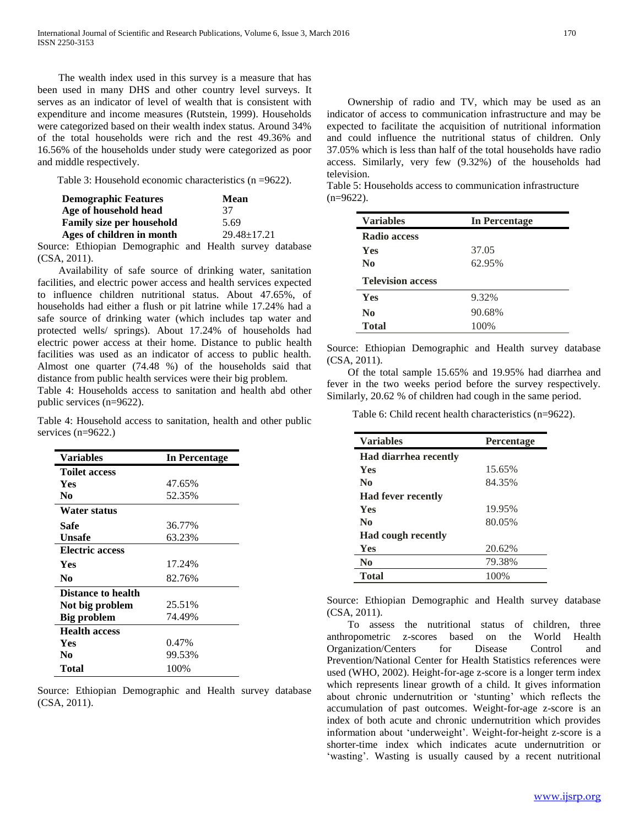The wealth index used in this survey is a measure that has been used in many DHS and other country level surveys. It serves as an indicator of level of wealth that is consistent with expenditure and income measures (Rutstein, 1999). Households were categorized based on their wealth index status. Around 34% of the total households were rich and the rest 49.36% and 16.56% of the households under study were categorized as poor and middle respectively.

Table 3: Household economic characteristics (n =9622).

| <b>Demographic Features</b>      | <b>Mean</b>       |  |
|----------------------------------|-------------------|--|
| Age of household head            | 37                |  |
| <b>Family size per household</b> | 5.69              |  |
| Ages of children in month        | $29.48 \pm 17.21$ |  |
|                                  |                   |  |

Source: Ethiopian Demographic and Health survey database (CSA, 2011).

 Availability of safe source of drinking water, sanitation facilities, and electric power access and health services expected to influence children nutritional status. About 47.65%, of households had either a flush or pit latrine while 17.24% had a safe source of drinking water (which includes tap water and protected wells/ springs). About 17.24% of households had electric power access at their home. Distance to public health facilities was used as an indicator of access to public health. Almost one quarter (74.48 %) of the households said that distance from public health services were their big problem.

Table 4: Households access to sanitation and health abd other public services (n=9622).

Table 4: Household access to sanitation, health and other public services (n=9622.)

| <b>Variables</b>          | In Percentage |
|---------------------------|---------------|
| <b>Toilet access</b>      |               |
| Yes                       | 47.65%        |
| No                        | 52.35%        |
| Water status              |               |
| Safe                      | 36.77%        |
| Unsafe                    | 63.23%        |
| <b>Electric access</b>    |               |
| <b>Yes</b>                | 17.24%        |
| N <sub>0</sub>            | 82.76%        |
| <b>Distance to health</b> |               |
| Not big problem           | 25.51%        |
| <b>Big problem</b>        | 74.49%        |
| <b>Health access</b>      |               |
| Yes                       | 0.47%         |
| No                        | 99.53%        |
| Total                     | 100%          |

Source: Ethiopian Demographic and Health survey database (CSA, 2011).

 Ownership of radio and TV, which may be used as an indicator of access to communication infrastructure and may be expected to facilitate the acquisition of nutritional information and could influence the nutritional status of children. Only 37.05% which is less than half of the total households have radio access. Similarly, very few (9.32%) of the households had television.

Table 5: Households access to communication infrastructure  $(n=9622)$ .

| <b>Variables</b>         | <b>In Percentage</b> |
|--------------------------|----------------------|
| <b>Radio access</b>      |                      |
| <b>Yes</b>               | 37.05                |
| No.                      | 62.95%               |
| <b>Television access</b> |                      |
| <b>Yes</b>               | 9.32%                |
| No.                      | 90.68%               |
| <b>Total</b>             | 100%                 |

Source: Ethiopian Demographic and Health survey database (CSA, 2011).

 Of the total sample 15.65% and 19.95% had diarrhea and fever in the two weeks period before the survey respectively. Similarly, 20.62 % of children had cough in the same period.

Table 6: Child recent health characteristics (n=9622).

| <b>Variables</b>             | <b>Percentage</b> |  |  |  |
|------------------------------|-------------------|--|--|--|
| <b>Had diarrhea recently</b> |                   |  |  |  |
| <b>Yes</b>                   | 15.65%            |  |  |  |
| No                           | 84.35%            |  |  |  |
| <b>Had fever recently</b>    |                   |  |  |  |
| Yes                          | 19.95%            |  |  |  |
| N <sub>0</sub>               | 80.05%            |  |  |  |
| <b>Had cough recently</b>    |                   |  |  |  |
| Yes                          | 20.62%            |  |  |  |
| N <sub>0</sub>               | 79.38%            |  |  |  |
| <b>Total</b>                 | 100%              |  |  |  |

Source: Ethiopian Demographic and Health survey database (CSA, 2011).

 To assess the nutritional status of children, three anthropometric z-scores based on the World Health Organization/Centers for Disease Control and Prevention/National Center for Health Statistics references were used (WHO, 2002). Height-for-age z-score is a longer term index which represents linear growth of a child. It gives information about chronic undernutrition or 'stunting' which reflects the accumulation of past outcomes. Weight-for-age z-score is an index of both acute and chronic undernutrition which provides information about 'underweight'. Weight-for-height z-score is a shorter-time index which indicates acute undernutrition or 'wasting'. Wasting is usually caused by a recent nutritional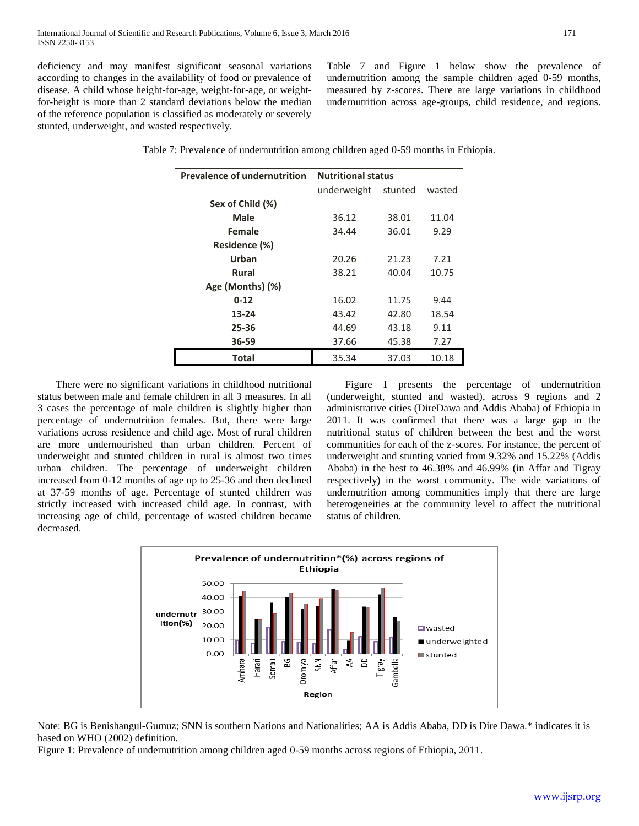deficiency and may manifest significant seasonal variations according to changes in the availability of food or prevalence of disease. A child whose height-for-age, weight-for-age, or weightfor-height is more than 2 standard deviations below the median of the reference population is classified as moderately or severely stunted, underweight, and wasted respectively.

Table 7 and Figure 1 below show the prevalence of undernutrition among the sample children aged 0-59 months, measured by z-scores. There are large variations in childhood undernutrition across age-groups, child residence, and regions.

| <b>Prevalence of undernutrition</b> | <b>Nutritional status</b> |         |        |  |  |
|-------------------------------------|---------------------------|---------|--------|--|--|
|                                     | underweight               | stunted | wasted |  |  |
| Sex of Child (%)                    |                           |         |        |  |  |
| Male                                | 36.12                     | 38.01   | 11.04  |  |  |
| Female                              | 34.44                     | 36.01   | 9.29   |  |  |
| Residence (%)                       |                           |         |        |  |  |
| Urban                               | 20.26                     | 21.23   | 7.21   |  |  |
| <b>Rural</b>                        | 38.21                     | 40.04   | 10.75  |  |  |
| Age (Months) (%)                    |                           |         |        |  |  |
| $0 - 12$                            | 16.02                     | 11.75   | 9.44   |  |  |
| 13-24                               | 43.42                     | 42.80   | 18.54  |  |  |
| 25-36                               | 44.69                     | 43.18   | 9.11   |  |  |
| 36-59                               | 37.66                     | 45.38   | 7.27   |  |  |
| <b>Total</b>                        | 35.34                     | 37.03   | 10.18  |  |  |

Table 7: Prevalence of undernutrition among children aged 0-59 months in Ethiopia.

 There were no significant variations in childhood nutritional status between male and female children in all 3 measures. In all 3 cases the percentage of male children is slightly higher than percentage of undernutrition females. But, there were large variations across residence and child age. Most of rural children are more undernourished than urban children. Percent of underweight and stunted children in rural is almost two times urban children. The percentage of underweight children increased from 0-12 months of age up to 25-36 and then declined at 37-59 months of age. Percentage of stunted children was strictly increased with increased child age. In contrast, with increasing age of child, percentage of wasted children became decreased.

 Figure 1 presents the percentage of undernutrition (underweight, stunted and wasted), across 9 regions and 2 administrative cities (DireDawa and Addis Ababa) of Ethiopia in 2011. It was confirmed that there was a large gap in the nutritional status of children between the best and the worst communities for each of the z-scores. For instance, the percent of underweight and stunting varied from 9.32% and 15.22% (Addis Ababa) in the best to 46.38% and 46.99% (in Affar and Tigray respectively) in the worst community. The wide variations of undernutrition among communities imply that there are large heterogeneities at the community level to affect the nutritional status of children.



Note: BG is Benishangul-Gumuz; SNN is southern Nations and Nationalities; AA is Addis Ababa, DD is Dire Dawa.\* indicates it is based on WHO (2002) definition.

Figure 1: Prevalence of undernutrition among children aged 0-59 months across regions of Ethiopia, 2011.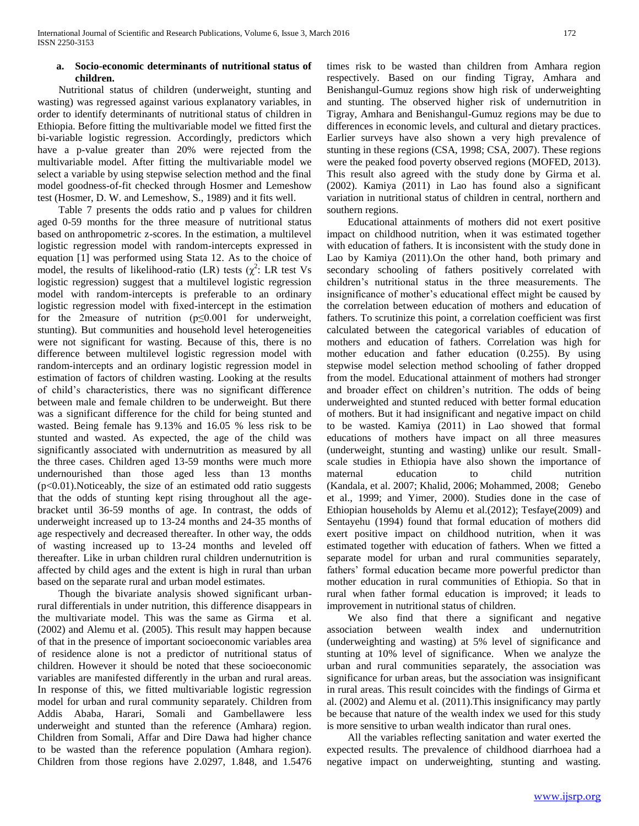#### **a. Socio-economic determinants of nutritional status of children.**

 Nutritional status of children (underweight, stunting and wasting) was regressed against various explanatory variables, in order to identify determinants of nutritional status of children in Ethiopia. Before fitting the multivariable model we fitted first the bi-variable logistic regression. Accordingly, predictors which have a p-value greater than 20% were rejected from the multivariable model. After fitting the multivariable model we select a variable by using stepwise selection method and the final model goodness-of-fit checked through Hosmer and Lemeshow test (Hosmer, D. W. and Lemeshow, S., 1989) and it fits well.

 Table 7 presents the odds ratio and p values for children aged 0-59 months for the three measure of nutritional status based on anthropometric z-scores. In the estimation, a multilevel logistic regression model with random-intercepts expressed in equation [1] was performed using Stata 12. As to the choice of model, the results of likelihood-ratio (LR) tests  $(\chi^2)$ : LR test Vs logistic regression) suggest that a multilevel logistic regression model with random-intercepts is preferable to an ordinary logistic regression model with fixed-intercept in the estimation for the 2measure of nutrition (p≤0.001 for underweight, stunting). But communities and household level heterogeneities were not significant for wasting. Because of this, there is no difference between multilevel logistic regression model with random-intercepts and an ordinary logistic regression model in estimation of factors of children wasting. Looking at the results of child's characteristics, there was no significant difference between male and female children to be underweight. But there was a significant difference for the child for being stunted and wasted. Being female has 9.13% and 16.05 % less risk to be stunted and wasted. As expected, the age of the child was significantly associated with undernutrition as measured by all the three cases. Children aged 13-59 months were much more undernourished than those aged less than 13 months (p<0.01).Noticeably, the size of an estimated odd ratio suggests that the odds of stunting kept rising throughout all the agebracket until 36-59 months of age. In contrast, the odds of underweight increased up to 13-24 months and 24-35 months of age respectively and decreased thereafter. In other way, the odds of wasting increased up to 13-24 months and leveled off thereafter. Like in urban children rural children undernutrition is affected by child ages and the extent is high in rural than urban based on the separate rural and urban model estimates.

 Though the bivariate analysis showed significant urbanrural differentials in under nutrition, this difference disappears in the multivariate model. This was the same as Girma et al. (2002) and Alemu et al. (2005). This result may happen because of that in the presence of important socioeconomic variables area of residence alone is not a predictor of nutritional status of children. However it should be noted that these socioeconomic variables are manifested differently in the urban and rural areas. In response of this, we fitted multivariable logistic regression model for urban and rural community separately. Children from Addis Ababa, Harari, Somali and Gambellawere less underweight and stunted than the reference (Amhara) region. Children from Somali, Affar and Dire Dawa had higher chance to be wasted than the reference population (Amhara region). Children from those regions have 2.0297, 1.848, and 1.5476

times risk to be wasted than children from Amhara region respectively. Based on our finding Tigray, Amhara and Benishangul-Gumuz regions show high risk of underweighting and stunting. The observed higher risk of undernutrition in Tigray, Amhara and Benishangul-Gumuz regions may be due to differences in economic levels, and cultural and dietary practices. Earlier surveys have also shown a very high prevalence of stunting in these regions (CSA, 1998; CSA, 2007). These regions were the peaked food poverty observed regions (MOFED, 2013). This result also agreed with the study done by Girma et al. (2002). Kamiya (2011) in Lao has found also a significant variation in nutritional status of children in central, northern and southern regions.

 Educational attainments of mothers did not exert positive impact on childhood nutrition, when it was estimated together with education of fathers. It is inconsistent with the study done in Lao by Kamiya (2011).On the other hand, both primary and secondary schooling of fathers positively correlated with children's nutritional status in the three measurements. The insignificance of mother's educational effect might be caused by the correlation between education of mothers and education of fathers. To scrutinize this point, a correlation coefficient was first calculated between the categorical variables of education of mothers and education of fathers. Correlation was high for mother education and father education (0.255). By using stepwise model selection method schooling of father dropped from the model. Educational attainment of mothers had stronger and broader effect on children's nutrition. The odds of being underweighted and stunted reduced with better formal education of mothers. But it had insignificant and negative impact on child to be wasted. Kamiya (2011) in Lao showed that formal educations of mothers have impact on all three measures (underweight, stunting and wasting) unlike our result. Smallscale studies in Ethiopia have also shown the importance of maternal education to child nutrition (Kandala, et al. 2007; Khalid, 2006; Mohammed, 2008; Genebo et al., 1999; and Yimer, 2000). Studies done in the case of Ethiopian households by Alemu et al.(2012); Tesfaye(2009) and Sentayehu (1994) found that formal education of mothers did exert positive impact on childhood nutrition, when it was estimated together with education of fathers. When we fitted a separate model for urban and rural communities separately, fathers' formal education became more powerful predictor than mother education in rural communities of Ethiopia. So that in rural when father formal education is improved; it leads to improvement in nutritional status of children.

We also find that there a significant and negative association between wealth index and undernutrition (underweighting and wasting) at 5% level of significance and stunting at 10% level of significance. When we analyze the urban and rural communities separately, the association was significance for urban areas, but the association was insignificant in rural areas. This result coincides with the findings of Girma et al. (2002) and Alemu et al. (2011).This insignificancy may partly be because that nature of the wealth index we used for this study is more sensitive to urban wealth indicator than rural ones.

 All the variables reflecting sanitation and water exerted the expected results. The prevalence of childhood diarrhoea had a negative impact on underweighting, stunting and wasting.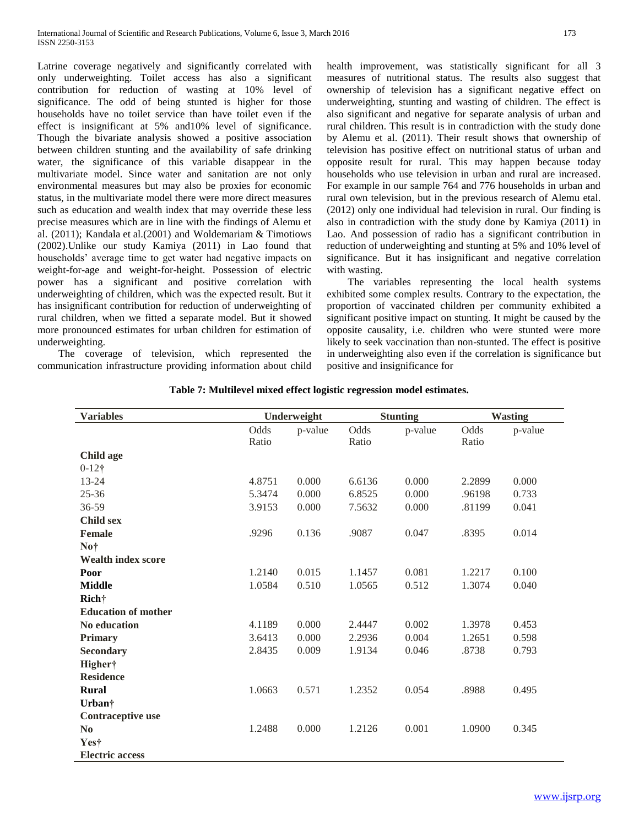Latrine coverage negatively and significantly correlated with only underweighting. Toilet access has also a significant contribution for reduction of wasting at 10% level of significance. The odd of being stunted is higher for those households have no toilet service than have toilet even if the effect is insignificant at 5% and10% level of significance. Though the bivariate analysis showed a positive association between children stunting and the availability of safe drinking water, the significance of this variable disappear in the multivariate model. Since water and sanitation are not only environmental measures but may also be proxies for economic status, in the multivariate model there were more direct measures such as education and wealth index that may override these less precise measures which are in line with the findings of Alemu et al. (2011); Kandala et al.(2001) and Woldemariam & Timotiows (2002).Unlike our study Kamiya (2011) in Lao found that households' average time to get water had negative impacts on weight-for-age and weight-for-height. Possession of electric power has a significant and positive correlation with underweighting of children, which was the expected result. But it has insignificant contribution for reduction of underweighting of rural children, when we fitted a separate model. But it showed more pronounced estimates for urban children for estimation of underweighting.

 The coverage of television, which represented the communication infrastructure providing information about child

health improvement, was statistically significant for all 3 measures of nutritional status. The results also suggest that ownership of television has a significant negative effect on underweighting, stunting and wasting of children. The effect is also significant and negative for separate analysis of urban and rural children. This result is in contradiction with the study done by Alemu et al. (2011). Their result shows that ownership of television has positive effect on nutritional status of urban and opposite result for rural. This may happen because today households who use television in urban and rural are increased. For example in our sample 764 and 776 households in urban and rural own television, but in the previous research of Alemu etal. (2012) only one individual had television in rural. Our finding is also in contradiction with the study done by Kamiya (2011) in Lao. And possession of radio has a significant contribution in reduction of underweighting and stunting at 5% and 10% level of significance. But it has insignificant and negative correlation with wasting.

 The variables representing the local health systems exhibited some complex results. Contrary to the expectation, the proportion of vaccinated children per community exhibited a significant positive impact on stunting. It might be caused by the opposite causality, i.e. children who were stunted were more likely to seek vaccination than non-stunted. The effect is positive in underweighting also even if the correlation is significance but positive and insignificance for

| <b>Variables</b>           | Underweight   |         | <b>Stunting</b> |         | <b>Wasting</b> |         |
|----------------------------|---------------|---------|-----------------|---------|----------------|---------|
|                            | Odds<br>Ratio | p-value | Odds<br>Ratio   | p-value | Odds<br>Ratio  | p-value |
| <b>Child age</b>           |               |         |                 |         |                |         |
| $0 - 12$ †                 |               |         |                 |         |                |         |
| 13-24                      | 4.8751        | 0.000   | 6.6136          | 0.000   | 2.2899         | 0.000   |
| $25 - 36$                  | 5.3474        | 0.000   | 6.8525          | 0.000   | .96198         | 0.733   |
| 36-59                      | 3.9153        | 0.000   | 7.5632          | 0.000   | .81199         | 0.041   |
| <b>Child sex</b>           |               |         |                 |         |                |         |
| <b>Female</b>              | .9296         | 0.136   | .9087           | 0.047   | .8395          | 0.014   |
| No†                        |               |         |                 |         |                |         |
| <b>Wealth index score</b>  |               |         |                 |         |                |         |
| Poor                       | 1.2140        | 0.015   | 1.1457          | 0.081   | 1.2217         | 0.100   |
| <b>Middle</b>              | 1.0584        | 0.510   | 1.0565          | 0.512   | 1.3074         | 0.040   |
| <b>Rich</b> †              |               |         |                 |         |                |         |
| <b>Education of mother</b> |               |         |                 |         |                |         |
| No education               | 4.1189        | 0.000   | 2.4447          | 0.002   | 1.3978         | 0.453   |
| Primary                    | 3.6413        | 0.000   | 2.2936          | 0.004   | 1.2651         | 0.598   |
| <b>Secondary</b>           | 2.8435        | 0.009   | 1.9134          | 0.046   | .8738          | 0.793   |
| Higher†                    |               |         |                 |         |                |         |
| <b>Residence</b>           |               |         |                 |         |                |         |
| <b>Rural</b>               | 1.0663        | 0.571   | 1.2352          | 0.054   | .8988          | 0.495   |
| Urban <sup>†</sup>         |               |         |                 |         |                |         |
| Contraceptive use          |               |         |                 |         |                |         |
| N <sub>0</sub>             | 1.2488        | 0.000   | 1.2126          | 0.001   | 1.0900         | 0.345   |
| Yes†                       |               |         |                 |         |                |         |
| <b>Electric access</b>     |               |         |                 |         |                |         |
|                            |               |         |                 |         |                |         |

**Table 7: Multilevel mixed effect logistic regression model estimates.**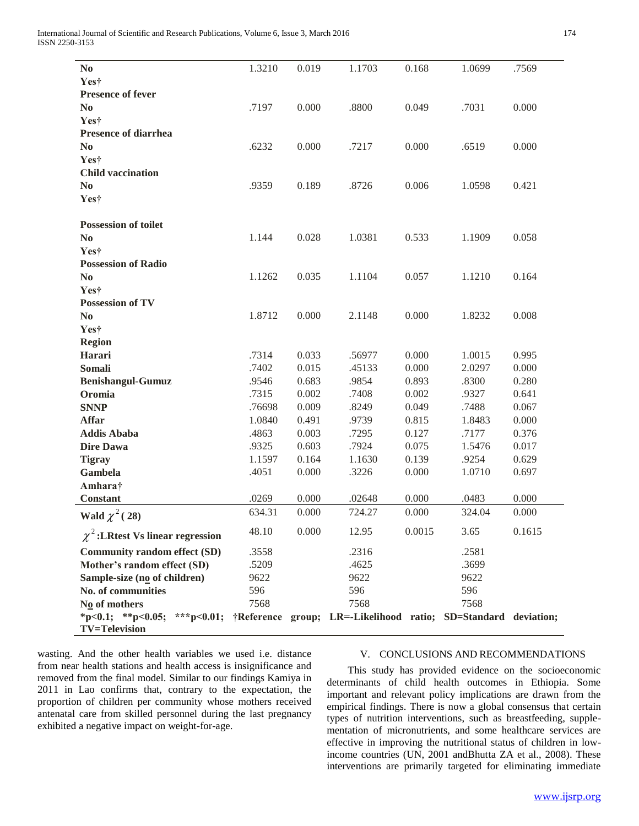| N <sub>0</sub>                                                                                                      | 1.3210 | 0.019 | 1.1703 | 0.168  | 1.0699 | .7569  |
|---------------------------------------------------------------------------------------------------------------------|--------|-------|--------|--------|--------|--------|
| Yes†                                                                                                                |        |       |        |        |        |        |
| <b>Presence of fever</b>                                                                                            |        |       |        |        |        |        |
| N <sub>0</sub>                                                                                                      | .7197  | 0.000 | .8800  | 0.049  | .7031  | 0.000  |
| Yes†                                                                                                                |        |       |        |        |        |        |
| <b>Presence of diarrhea</b>                                                                                         |        |       |        |        |        |        |
| N <sub>0</sub>                                                                                                      | .6232  | 0.000 | .7217  | 0.000  | .6519  | 0.000  |
| Yes†                                                                                                                |        |       |        |        |        |        |
| <b>Child vaccination</b>                                                                                            |        |       |        |        |        |        |
| N <sub>0</sub>                                                                                                      | .9359  | 0.189 | .8726  | 0.006  | 1.0598 | 0.421  |
| Yes†                                                                                                                |        |       |        |        |        |        |
| <b>Possession of toilet</b>                                                                                         |        |       |        |        |        |        |
| N <sub>0</sub>                                                                                                      | 1.144  | 0.028 | 1.0381 | 0.533  | 1.1909 | 0.058  |
| Yes†                                                                                                                |        |       |        |        |        |        |
| <b>Possession of Radio</b>                                                                                          |        |       |        |        |        |        |
| N <sub>0</sub>                                                                                                      | 1.1262 | 0.035 | 1.1104 | 0.057  | 1.1210 | 0.164  |
| Yes†                                                                                                                |        |       |        |        |        |        |
| <b>Possession of TV</b>                                                                                             |        |       |        |        |        |        |
| No                                                                                                                  | 1.8712 | 0.000 | 2.1148 | 0.000  | 1.8232 | 0.008  |
| Yes†                                                                                                                |        |       |        |        |        |        |
| <b>Region</b>                                                                                                       |        |       |        |        |        |        |
| Harari                                                                                                              | .7314  | 0.033 | .56977 | 0.000  | 1.0015 | 0.995  |
| Somali                                                                                                              | .7402  | 0.015 | .45133 | 0.000  | 2.0297 | 0.000  |
| <b>Benishangul-Gumuz</b>                                                                                            | .9546  | 0.683 | .9854  | 0.893  | .8300  | 0.280  |
| Oromia                                                                                                              | .7315  | 0.002 | .7408  | 0.002  | .9327  | 0.641  |
| <b>SNNP</b>                                                                                                         | .76698 | 0.009 | .8249  | 0.049  | .7488  | 0.067  |
| <b>Affar</b>                                                                                                        | 1.0840 | 0.491 | .9739  | 0.815  | 1.8483 | 0.000  |
| <b>Addis Ababa</b>                                                                                                  | .4863  | 0.003 | .7295  | 0.127  | .7177  | 0.376  |
| <b>Dire Dawa</b>                                                                                                    | .9325  | 0.603 | .7924  | 0.075  | 1.5476 | 0.017  |
| <b>Tigray</b>                                                                                                       | 1.1597 | 0.164 | 1.1630 | 0.139  | .9254  | 0.629  |
| Gambela                                                                                                             | .4051  | 0.000 | .3226  | 0.000  | 1.0710 | 0.697  |
| Amhara†<br><b>Constant</b>                                                                                          | .0269  | 0.000 | .02648 | 0.000  | .0483  | 0.000  |
| Wald $\chi^2(28)$                                                                                                   | 634.31 | 0.000 | 724.27 | 0.000  | 324.04 | 0.000  |
| $\chi^2$ : LRtest Vs linear regression                                                                              | 48.10  | 0.000 | 12.95  | 0.0015 | 3.65   | 0.1615 |
| <b>Community random effect (SD)</b>                                                                                 | .3558  |       | .2316  |        | .2581  |        |
| Mother's random effect (SD)                                                                                         | .5209  |       | .4625  |        | .3699  |        |
| Sample-size (no of children)                                                                                        | 9622   |       | 9622   |        | 9622   |        |
| No. of communities                                                                                                  | 596    |       | 596    |        | 596    |        |
| $N0$ of mothers                                                                                                     | 7568   |       | 7568   |        | 7568   |        |
| *p<0.1; **p<0.05; ***p<0.01; †Reference group; LR=-Likelihood ratio; SD=Standard deviation;<br><b>TV=Television</b> |        |       |        |        |        |        |

wasting. And the other health variables we used i.e. distance from near health stations and health access is insignificance and removed from the final model. Similar to our findings Kamiya in 2011 in Lao confirms that, contrary to the expectation, the proportion of children per community whose mothers received antenatal care from skilled personnel during the last pregnancy exhibited a negative impact on weight-for-age.

# V. CONCLUSIONS AND RECOMMENDATIONS

 This study has provided evidence on the socioeconomic determinants of child health outcomes in Ethiopia. Some important and relevant policy implications are drawn from the empirical findings. There is now a global consensus that certain types of nutrition interventions, such as breastfeeding, supplementation of micronutrients, and some healthcare services are effective in improving the nutritional status of children in lowincome countries (UN, 2001 andBhutta ZA et al., 2008). These interventions are primarily targeted for eliminating immediate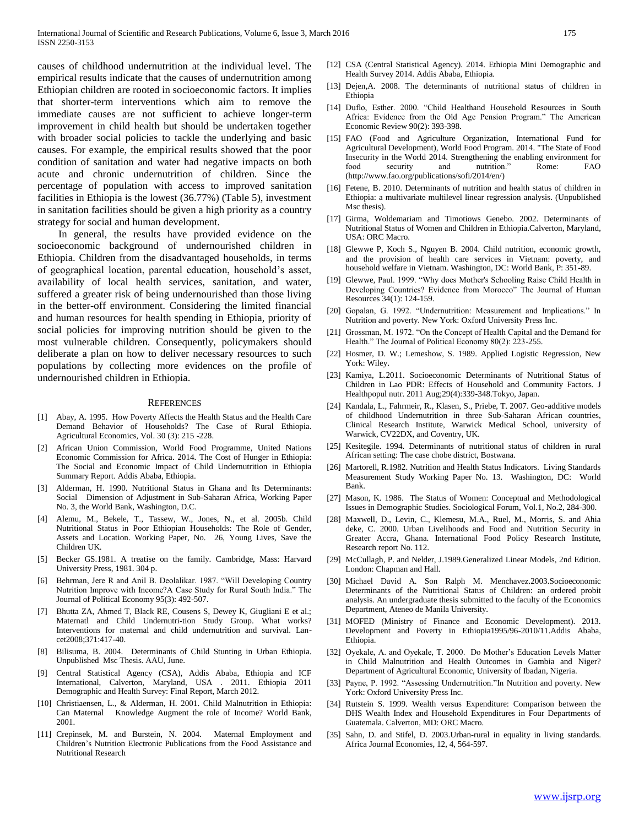causes of childhood undernutrition at the individual level. The empirical results indicate that the causes of undernutrition among Ethiopian children are rooted in socioeconomic factors. It implies that shorter-term interventions which aim to remove the immediate causes are not sufficient to achieve longer-term improvement in child health but should be undertaken together with broader social policies to tackle the underlying and basic causes. For example, the empirical results showed that the poor condition of sanitation and water had negative impacts on both acute and chronic undernutrition of children. Since the percentage of population with access to improved sanitation facilities in Ethiopia is the lowest (36.77%) (Table 5), investment in sanitation facilities should be given a high priority as a country strategy for social and human development.

 In general, the results have provided evidence on the socioeconomic background of undernourished children in Ethiopia. Children from the disadvantaged households, in terms of geographical location, parental education, household's asset, availability of local health services, sanitation, and water, suffered a greater risk of being undernourished than those living in the better-off environment. Considering the limited financial and human resources for health spending in Ethiopia, priority of social policies for improving nutrition should be given to the most vulnerable children. Consequently, policymakers should deliberate a plan on how to deliver necessary resources to such populations by collecting more evidences on the profile of undernourished children in Ethiopia.

#### **REFERENCES**

- [1] Abay, A. 1995. How Poverty Affects the Health Status and the Health Care Demand Behavior of Households? The Case of Rural Ethiopia. Agricultural Economics, Vol. 30 (3): 215 -228.
- [2] African Union Commission, World Food Programme, United Nations Economic Commission for Africa. 2014. The Cost of Hunger in Ethiopia: The Social and Economic Impact of Child Undernutrition in Ethiopia Summary Report. Addis Ababa, Ethiopia.
- [3] Alderman, H. 1990. Nutritional Status in Ghana and Its Determinants: Social Dimension of Adjustment in Sub-Saharan Africa, Working Paper No. 3, the World Bank, Washington, D.C.
- [4] Alemu, M., Bekele, T., Tassew, W., Jones, N., et al. 2005b. Child Nutritional Status in Poor Ethiopian Households: The Role of Gender, Assets and Location. Working Paper, No. 26, Young Lives, Save the Children UK.
- [5] Becker GS.1981. A treatise on the family. Cambridge, Mass: Harvard University Press, 1981. 304 p.
- [6] Behrman, Jere R and Anil B. Deolalikar. 1987. "Will Developing Country Nutrition Improve with Income?A Case Study for Rural South India." The Journal of Political Economy 95(3): 492-507.
- [7] Bhutta ZA, Ahmed T, Black RE, Cousens S, Dewey K, Giugliani E et al.; Maternatl and Child Undernutri-tion Study Group. What works? Interventions for maternal and child undernutrition and survival. Lancet2008;371:417-40.
- [8] Bilisuma, B. 2004. Determinants of Child Stunting in Urban Ethiopia. Unpublished Msc Thesis. AAU, June.
- [9] Central Statistical Agency (CSA), Addis Ababa, Ethiopia and ICF International, Calverton, Maryland, USA . 2011. Ethiopia 2011 Demographic and Health Survey: Final Report, March 2012.
- [10] Christiaensen, L., & Alderman, H. 2001. Child Malnutrition in Ethiopia: Can Maternal Knowledge Augment the role of Income? World Bank, 2001.
- [11] Crepinsek, M. and Burstein, N. 2004. Maternal Employment and Children's Nutrition Electronic Publications from the Food Assistance and Nutritional Research
- [12] CSA (Central Statistical Agency). 2014. Ethiopia Mini Demographic and Health Survey 2014. Addis Ababa, Ethiopia.
- [13] Dejen, A. 2008. The determinants of nutritional status of children in Ethiopia
- [14] Duflo, Esther. 2000. "Child Healthand Household Resources in South Africa: Evidence from the Old Age Pension Program." The American Economic Review 90(2): 393-398.
- [15] FAO (Food and Agriculture Organization, International Fund for Agricultural Development), World Food Program. 2014. "The State of Food Insecurity in the World 2014. Strengthening the enabling environment for food security and nutrition." Rome: FAO (http://www.fao.org/publications/sofi/2014/en/)
- [16] Fetene, B. 2010. Determinants of nutrition and health status of children in Ethiopia: a multivariate multilevel linear regression analysis. (Unpublished Msc thesis).
- [17] Girma, Woldemariam and Timotiows Genebo. 2002. Determinants of Nutritional Status of Women and Children in Ethiopia.Calverton, Maryland, USA: ORC Macro.
- [18] Glewwe P, Koch S., Nguyen B. 2004. Child nutrition, economic growth, and the provision of health care services in Vietnam: poverty, and household welfare in Vietnam. Washington, DC: World Bank, P: 351-89.
- [19] Glewwe, Paul. 1999. "Why does Mother's Schooling Raise Child Health in Developing Countries? Evidence from Morocco" The Journal of Human Resources 34(1): 124-159.
- [20] Gopalan, G. 1992. "Undernutrition: Measurement and Implications." In Nutrition and poverty. New York: Oxford University Press Inc.
- [21] Grossman, M. 1972. "On the Concept of Health Capital and the Demand for Health." The Journal of Political Economy 80(2): 223-255.
- [22] Hosmer, D. W.; Lemeshow, S. 1989. Applied Logistic Regression, New York: Wiley.
- [23] Kamiya, L.2011. Socioeconomic Determinants of Nutritional Status of Children in Lao PDR: Effects of Household and Community Factors. J Healthpopul nutr. 2011 Aug;29(4):339-348.Tokyo, Japan.
- [24] Kandala, L., Fahrmeir, R., Klasen, S., Priebe, T. 2007. Geo-additive models of childhood Undernutrition in three Sub-Saharan African countries, Clinical Research Institute, Warwick Medical School, university of Warwick, CV22DX, and Coventry, UK.
- [25] Kesitegile. 1994. Determinants of nutritional status of children in rural African setting: The case chobe district, Bostwana.
- [26] Martorell, R.1982. Nutrition and Health Status Indicators. Living Standards Measurement Study Working Paper No. 13. Washington, DC: World Bank.
- [27] Mason, K. 1986. The Status of Women: Conceptual and Methodological Issues in Demographic Studies. Sociological Forum, Vol.1, No.2, 284-300.
- [28] Maxwell, D., Levin, C., Klemesu, M.A., Ruel, M., Morris, S. and Ahia deke, C. 2000. Urban Livelihoods and Food and Nutrition Security in Greater Accra, Ghana. International Food Policy Research Institute, Research report No. 112.
- [29] McCullagh, P. and Nelder, J.1989.Generalized Linear Models, 2nd Edition. London: Chapman and Hall.
- [30] Michael David A. Son Ralph M. Menchavez.2003.Socioeconomic Determinants of the Nutritional Status of Children: an ordered probit analysis. An undergraduate thesis submitted to the faculty of the Economics Department, Ateneo de Manila University.
- [31] MOFED (Ministry of Finance and Economic Development). 2013. Development and Poverty in Ethiopia1995/96-2010/11.Addis Ababa, Ethiopia.
- [32] Oyekale, A. and Oyekale, T. 2000. Do Mother's Education Levels Matter in Child Malnutrition and Health Outcomes in Gambia and Niger? Department of Agricultural Economic, University of Ibadan, Nigeria.
- [33] Payne, P. 1992. "Assessing Undernutrition."In Nutrition and poverty. New York: Oxford University Press Inc.
- [34] Rutstein S. 1999. Wealth versus Expenditure: Comparison between the DHS Wealth Index and Household Expenditures in Four Departments of Guatemala. Calverton, MD: ORC Macro.
- [35] Sahn, D. and Stifel, D. 2003. Urban-rural in equality in living standards. Africa Journal Economies, 12, 4, 564-597.